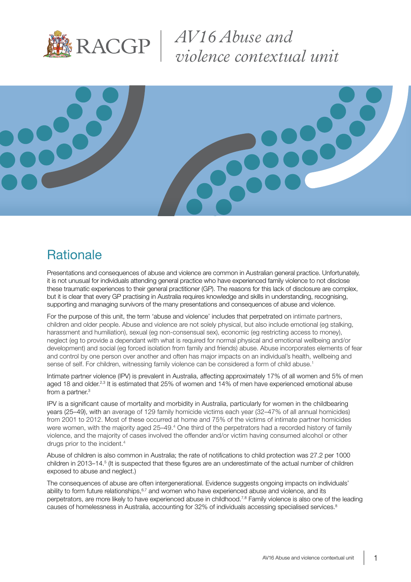

*AV16 Abuse and violence contextual unit*



## **Rationale**

Presentations and consequences of abuse and violence are common in Australian general practice. Unfortunately, it is not unusual for individuals attending general practice who have experienced family violence to not disclose these traumatic experiences to their general practitioner (GP). The reasons for this lack of disclosure are complex, but it is clear that every GP practising in Australia requires knowledge and skills in understanding, recognising, supporting and managing survivors of the many presentations and consequences of abuse and violence.

For the purpose of this unit, the term 'abuse and violence' includes that perpetrated on intimate partners, children and older people. Abuse and violence are not solely physical, but also include emotional (eg stalking, harassment and humiliation), sexual (eg non-consensual sex), economic (eg restricting access to money), neglect (eg to provide a dependant with what is required for normal physical and emotional wellbeing and/or development) and social (eg forced isolation from family and friends) abuse. Abuse incorporates elements of fear and control by one person over another and often has major impacts on an individual's health, wellbeing and sense of self. For children, witnessing family violence can be considered a form of child abuse.<sup>1</sup>

Intimate partner violence (IPV) is prevalent in Australia, affecting approximately 17% of all women and 5% of men aged 18 and older.<sup>2,3</sup> It is estimated that 25% of women and 14% of men have experienced emotional abuse from a partner.3

IPV is a significant cause of mortality and morbidity in Australia, particularly for women in the childbearing years (25–49), with an average of 129 family homicide victims each year (32–47% of all annual homicides) from 2001 to 2012. Most of these occurred at home and 75% of the victims of intimate partner homicides were women, with the majority aged 25–49.<sup>4</sup> One third of the perpetrators had a recorded history of family violence, and the majority of cases involved the offender and/or victim having consumed alcohol or other drugs prior to the incident.4

Abuse of children is also common in Australia; the rate of notifications to child protection was 27.2 per 1000 children in 2013–14.<sup>5</sup> (It is suspected that these figures are an underestimate of the actual number of children exposed to abuse and neglect.)

The consequences of abuse are often intergenerational. Evidence suggests ongoing impacts on individuals' ability to form future relationships,<sup>6,7</sup> and women who have experienced abuse and violence, and its perpetrators, are more likely to have experienced abuse in childhood.<sup>7,8</sup> Family violence is also one of the leading causes of homelessness in Australia, accounting for 32% of individuals accessing specialised services.<sup>8</sup>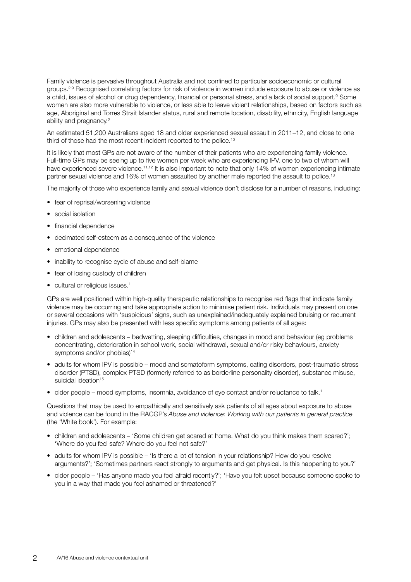Family violence is pervasive throughout Australia and not confined to particular socioeconomic or cultural groups.2,9 Recognised correlating factors for risk of violence in women include exposure to abuse or violence as a child, issues of alcohol or drug dependency, financial or personal stress, and a lack of social support.<sup>9</sup> Some women are also more vulnerable to violence, or less able to leave violent relationships, based on factors such as age, Aboriginal and Torres Strait Islander status, rural and remote location, disability, ethnicity, English language ability and pregnancy.<sup>2</sup>

An estimated 51,200 Australians aged 18 and older experienced sexual assault in 2011–12, and close to one third of those had the most recent incident reported to the police.<sup>10</sup>

It is likely that most GPs are not aware of the number of their patients who are experiencing family violence. Full-time GPs may be seeing up to five women per week who are experiencing IPV, one to two of whom will have experienced severe violence.<sup>11,12</sup> It is also important to note that only 14% of women experiencing intimate partner sexual violence and 16% of women assaulted by another male reported the assault to police.<sup>13</sup>

The majority of those who experience family and sexual violence don't disclose for a number of reasons, including:

- fear of reprisal/worsening violence
- social isolation
- financial dependence
- decimated self-esteem as a consequence of the violence
- emotional dependence
- inability to recognise cycle of abuse and self-blame
- fear of losing custody of children
- cultural or religious issues.<sup>11</sup>

GPs are well positioned within high-quality therapeutic relationships to recognise red flags that indicate family violence may be occurring and take appropriate action to minimise patient risk. Individuals may present on one or several occasions with 'suspicious' signs, such as unexplained/inadequately explained bruising or recurrent injuries. GPs may also be presented with less specific symptoms among patients of all ages:

- children and adolescents bedwetting, sleeping difficulties, changes in mood and behaviour (eg problems concentrating, deterioration in school work, social withdrawal, sexual and/or risky behaviours, anxiety symptoms and/or phobias)<sup>14</sup>
- adults for whom IPV is possible mood and somatoform symptoms, eating disorders, post-traumatic stress disorder (PTSD), complex PTSD (formerly referred to as borderline personality disorder), substance misuse, suicidal ideation<sup>15</sup>
- older people mood symptoms, insomnia, avoidance of eye contact and/or reluctance to talk.<sup>1</sup>

Questions that may be used to empathically and sensitively ask patients of all ages about exposure to abuse and violence can be found in the RACGP's *Abuse and violence: Working with our patients in general practice* (the 'White book'). For example:

- children and adolescents 'Some children get scared at home. What do you think makes them scared?'; 'Where do you feel safe? Where do you feel not safe?'
- adults for whom IPV is possible 'Is there a lot of tension in your relationship? How do you resolve arguments?'; 'Sometimes partners react strongly to arguments and get physical. Is this happening to you?'
- older people 'Has anyone made you feel afraid recently?'; 'Have you felt upset because someone spoke to you in a way that made you feel ashamed or threatened?'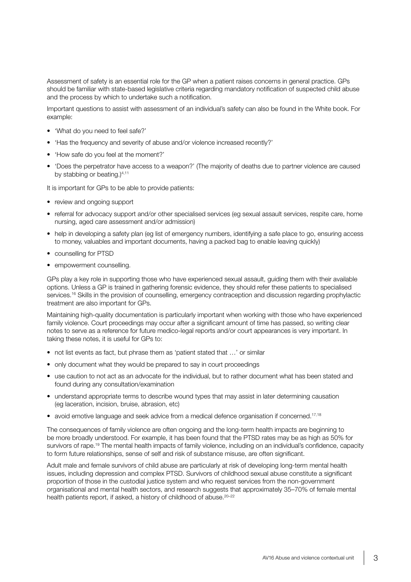Assessment of safety is an essential role for the GP when a patient raises concerns in general practice. GPs should be familiar with state-based legislative criteria regarding mandatory notification of suspected child abuse and the process by which to undertake such a notification.

Important questions to assist with assessment of an individual's safety can also be found in the White book. For example:

- 'What do you need to feel safe?'
- 'Has the frequency and severity of abuse and/or violence increased recently?'
- 'How safe do you feel at the moment?'
- 'Does the perpetrator have access to a weapon?' (The majority of deaths due to partner violence are caused by stabbing or beating.) $4,11$

It is important for GPs to be able to provide patients:

- review and ongoing support
- referral for advocacy support and/or other specialised services (eg sexual assault services, respite care, home nursing, aged care assessment and/or admission)
- help in developing a safety plan (eg list of emergency numbers, identifying a safe place to go, ensuring access to money, valuables and important documents, having a packed bag to enable leaving quickly)
- counselling for PTSD
- empowerment counselling.

GPs play a key role in supporting those who have experienced sexual assault, guiding them with their available options. Unless a GP is trained in gathering forensic evidence, they should refer these patients to specialised services.<sup>16</sup> Skills in the provision of counselling, emergency contraception and discussion regarding prophylactic treatment are also important for GPs.

Maintaining high-quality documentation is particularly important when working with those who have experienced family violence. Court proceedings may occur after a significant amount of time has passed, so writing clear notes to serve as a reference for future medico-legal reports and/or court appearances is very important. In taking these notes, it is useful for GPs to:

- not list events as fact, but phrase them as 'patient stated that …' or similar
- only document what they would be prepared to say in court proceedings
- use caution to not act as an advocate for the individual, but to rather document what has been stated and found during any consultation/examination
- understand appropriate terms to describe wound types that may assist in later determining causation (eg laceration, incision, bruise, abrasion, etc)
- avoid emotive language and seek advice from a medical defence organisation if concerned.<sup>17,18</sup>

The consequences of family violence are often ongoing and the long-term health impacts are beginning to be more broadly understood. For example, it has been found that the PTSD rates may be as high as 50% for survivors of rape.<sup>19</sup> The mental health impacts of family violence, including on an individual's confidence, capacity to form future relationships, sense of self and risk of substance misuse, are often significant.

Adult male and female survivors of child abuse are particularly at risk of developing long-term mental health issues, including depression and complex PTSD. Survivors of childhood sexual abuse constitute a significant proportion of those in the custodial justice system and who request services from the non-government organisational and mental health sectors, and research suggests that approximately 35–70% of female mental health patients report, if asked, a history of childhood of abuse.<sup>20-22</sup>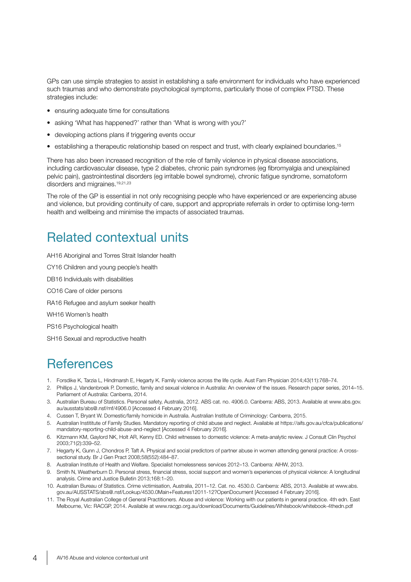GPs can use simple strategies to assist in establishing a safe environment for individuals who have experienced such traumas and who demonstrate psychological symptoms, particularly those of complex PTSD. These strategies include:

- ensuring adequate time for consultations
- asking 'What has happened?' rather than 'What is wrong with you?'
- developing actions plans if triggering events occur
- establishing a therapeutic relationship based on respect and trust, with clearly explained boundaries.<sup>15</sup>

There has also been increased recognition of the role of family violence in physical disease associations, including cardiovascular disease, type 2 diabetes, chronic pain syndromes (eg fibromyalgia and unexplained pelvic pain), gastrointestinal disorders (eg irritable bowel syndrome), chronic fatigue syndrome, somatoform disorders and migraines.<sup>19,21,23</sup>

The role of the GP is essential in not only recognising people who have experienced or are experiencing abuse and violence, but providing continuity of care, support and appropriate referrals in order to optimise long-term health and wellbeing and minimise the impacts of associated traumas.

### Related contextual units

AH16 Aboriginal and Torres Strait Islander health

CY16 Children and young people's health

DB16 Individuals with disabilities

CO16 Care of older persons

RA16 Refugee and asylum seeker health

WH16 Women's health

PS16 Psychological health

SH16 Sexual and reproductive health

### **References**

- 1. Forsdike K, Tarzia L, Hindmarsh E, Hegarty K. Family violence across the life cycle. Aust Fam Physician 2014;43(11):768–74.
- 2. Phillips J, Vandenbroek P. Domestic, family and sexual violence in Australia: An overview of the issues. Research paper series, 2014–15. Parliament of Australia: Canberra, 2014.
- 3. Australian Bureau of Statistics. Personal safety, Australia, 2012. ABS cat. no. 4906.0. Canberra: ABS, 2013. Available at [www.abs.gov.](http://www.abs.gov.au/ausstats/abs@.nsf/mf/4906.0) [au/ausstats/abs@.nsf/mf/4906.0](http://www.abs.gov.au/ausstats/abs@.nsf/mf/4906.0) [Accessed 4 February 2016].
- 4. Cussen T, Bryant W. Domestic/family homicide in Australia. Australian Institute of Criminology: Canberra, 2015.
- 5. Australian Instititute of Family Studies. Mandatory reporting of child abuse and neglect. Available at [https://aifs.gov.au/cfca/publications/](https://aifs.gov.au/cfca/publications/mandatory-reporting-child-abuse-and-neglect) [mandatory-reporting-child-abuse-and-neglect](https://aifs.gov.au/cfca/publications/mandatory-reporting-child-abuse-and-neglect) [Accessed 4 February 2016].
- 6. Kitzmann KM, Gaylord NK, Holt AR, Kenny ED. Child witnesses to domestic violence: A meta-analytic review. J Consult Clin Psychol 2003;71(2):339–52.
- 7. Hegarty K, Gunn J, Chondros P, Taft A. Physical and social predictors of partner abuse in women attending general practice: A crosssectional study. Br J Gen Pract 2008;58(552):484–87.
- 8. Australian Institute of Health and Welfare. Specialist homelessness services 2012–13. Canberra: AIHW, 2013.
- 9. Smith N, Weatherburn D. Personal stress, financial stress, social support and women's experiences of physical violence: A longitudinal analysis. Crime and Justice Bulletin 2013;168:1–20.
- 10. Australian Bureau of Statistics. Crime victimisation, Australia, 2011–12. Cat. no. 4530.0. Canberra: ABS, 2013. Available at www.abs. gov.au/AUSSTATS/abs@.nsf/Lookup/4530.0Main+Features12011-12?OpenDocument [Accessed 4 February 2016].
- 11. The Royal Australian College of General Practitioners. Abuse and violence: Working with our patients in general practice. 4th edn. East Melbourne, Vic: RACGP, 2014. Available at [www.racgp.org.au/download/Documents/Guidelines/Whitebook/whitebook-4thedn.pdf](http://www.racgp.org.au/download/Documents/Guidelines/Whitebook/whitebook-4thedn.pdf)